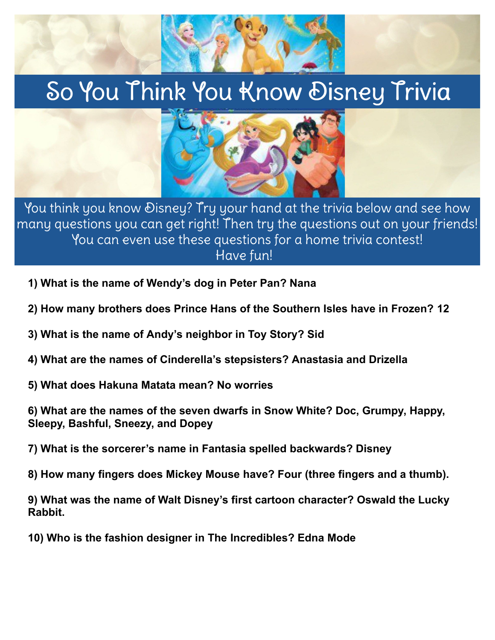## So You Think You Know Disney Trivia



You think you know Disney? Try your hand at the trivia below and see how many questions you can get right! Then try the questions out on your friends! You can even use these questions for a home trivia contest! Have fun!

- **1) What is the name of Wendy's dog in Peter Pan? Nana**
- **2) How many brothers does Prince Hans of the Southern Isles have in Frozen? 12**
- **3) What is the name of Andy's neighbor in Toy Story? Sid**
- **4) What are the names of Cinderella's stepsisters? Anastasia and Drizella**
- **5) What does Hakuna Matata mean? No worries**

**6) What are the names of the seven dwarfs in Snow White? Doc, Grumpy, Happy, Sleepy, Bashful, Sneezy, and Dopey**

**7) What is the sorcerer's name in Fantasia spelled backwards? Disney**

**8) How many fingers does Mickey Mouse have? Four (three fingers and a thumb).**

**9) What was the name of Walt Disney's first cartoon character? Oswald the Lucky Rabbit.**

**10) Who is the fashion designer in The Incredibles? Edna Mode**